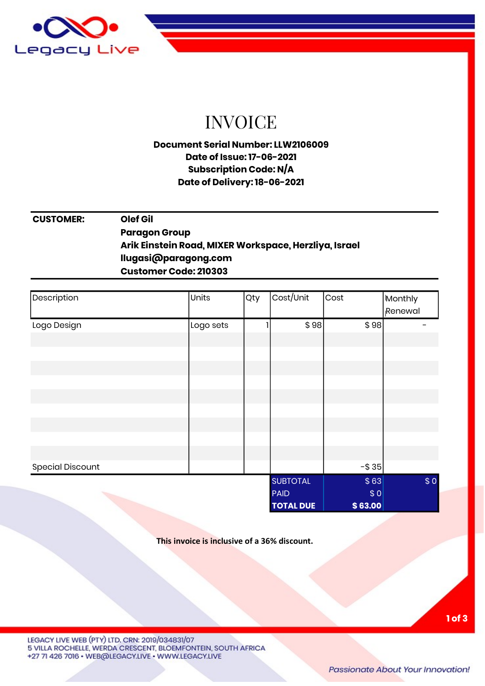

# INVOICE

### Document Serial Number: LLW2106009 Date of Issue: 17-06-2021 Subscription Code: N/A Date of Delivery: 18-06-2021

### CUSTOMER: Olef Gil **Paragon Group** Arik Einstein Road, MIXER Workspace, Herzliya, Israel llugasi@paragong.com Customer Code: 210303

| Description             | Units     | Qty | Cost/Unit        | Cost    | Monthly<br>Renewal |
|-------------------------|-----------|-----|------------------|---------|--------------------|
| Logo Design             | Logo sets |     | \$98]            | \$98    |                    |
|                         |           |     |                  |         |                    |
|                         |           |     |                  |         |                    |
|                         |           |     |                  |         |                    |
|                         |           |     |                  |         |                    |
|                         |           |     |                  |         |                    |
|                         |           |     |                  |         |                    |
|                         |           |     |                  |         |                    |
|                         |           |     |                  |         |                    |
|                         |           |     |                  |         |                    |
| <b>Special Discount</b> |           |     |                  | $ $35$  |                    |
|                         |           |     | <b>SUBTOTAL</b>  | \$63    | \$0                |
|                         |           |     | <b>PAID</b>      | \$0     |                    |
|                         |           |     | <b>TOTAL DUE</b> | \$63.00 |                    |

This invoice is inclusive of a 36% discount.

LEGACY LIVE WEB (PTY) LTD, CRN: 2019/034831/07 5 VILLA ROCHELLE, WERDA CRESCENT, BLOEMFONTEIN, SOUTH AFRICA +27 71 426 7016 · WEB@LEGACY.LIVE · WWW.LEGACY.LIVE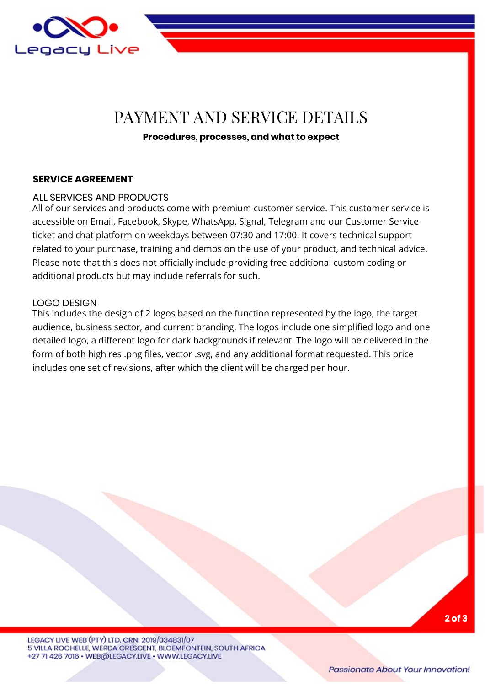

## PAYMENT AND SERVICE DETAILS

#### Procedures, processes, and what to expect

#### SERVICE AGREEMENT

#### ALL SERVICES AND PRODUCTS

All of our services and products come with premium customer service. This customer service is accessible on Email, Facebook, Skype, WhatsApp, Signal, Telegram and our Customer Service ticket and chat platform on weekdays between 07:30 and 17:00. It covers technical support related to your purchase, training and demos on the use of your product, and technical advice. Please note that this does not officially include providing free additional custom coding or additional products but may include referrals for such.

#### LOGO DESIGN

This includes the design of 2 logos based on the function represented by the logo, the target audience, business sector, and current branding. The logos include one simplified logo and one detailed logo, a different logo for dark backgrounds if relevant. The logo will be delivered in the form of both high res .png files, vector .svg, and any additional format requested. This price includes one set of revisions, after which the client will be charged per hour.

LEGACY LIVE WEB (PTY) LTD. CRN: 2019/034831/07 5 VILLA ROCHELLE, WERDA CRESCENT, BLOEMFONTEIN, SOUTH AFRICA +27 71 426 7016 · WEB@LEGACY.LIVE · WWW.LEGACY.LIVE